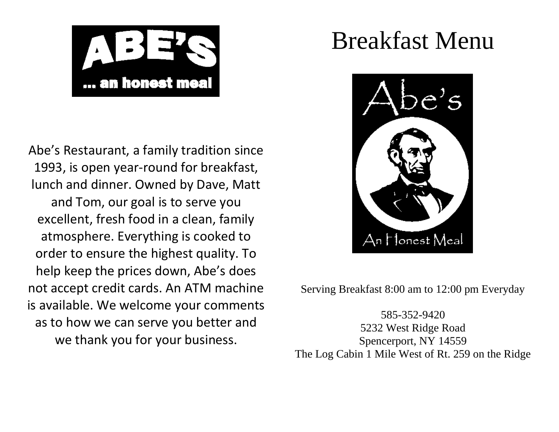

Abe's Restaurant, a family tradition since 1993, is open year-round for breakfast, lunch and dinner. Owned by Dave, Matt and Tom, our goal is to serve you excellent, fresh food in a clean, family atmosphere. Everything is cooked to order to ensure the highest quality. To help keep the prices down, Abe's does not accept credit cards. An ATM machine is available. We welcome your comments as to how we can serve you better and we thank you for your business.

# Breakfast Menu



Serving Breakfast 8:00 am to 12:00 pm Everyday

585-352-9420 5232 West Ridge Road Spencerport, NY 14559 The Log Cabin 1 Mile West of Rt. 259 on the Ridge